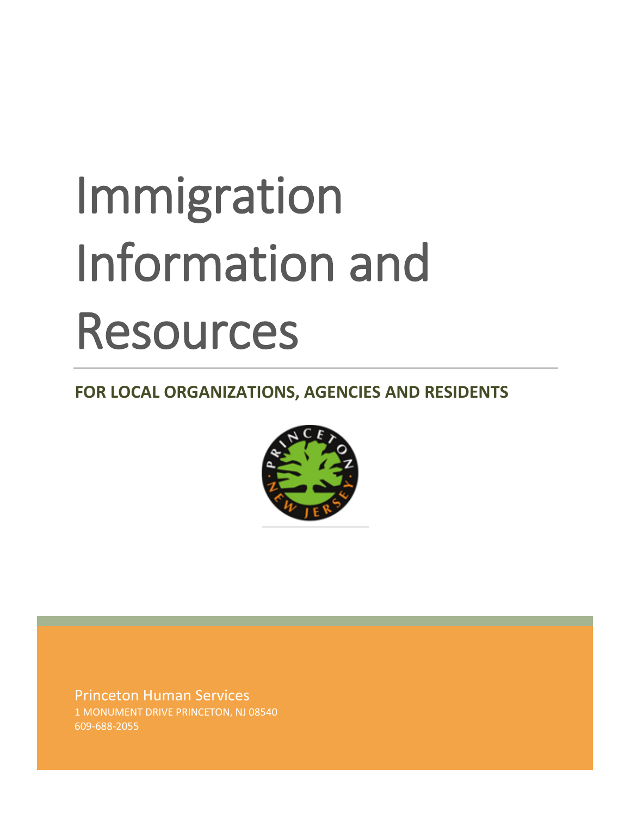# Immigration Information and Resources

## **FOR LOCAL ORGANIZATIONS, AGENCIES AND RESIDENTS**



Princeton Human Services 1 MONUMENT DRIVE PRINCETON, NJ 08540 609-688-2055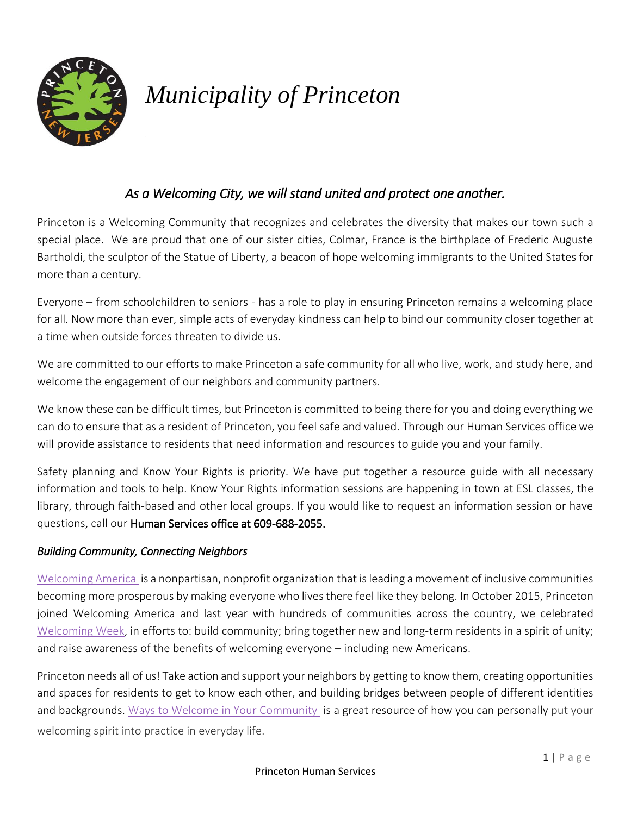

## *Municipality of Princeton*

## *As a Welcoming City, we will stand united and protect one another.*

Princeton is a Welcoming Community that recognizes and celebrates the diversity that makes our town such a special place. We are proud that one of our sister cities, Colmar, France is the birthplace of Frederic Auguste Bartholdi, the sculptor of the Statue of Liberty, a beacon of hope welcoming immigrants to the United States for more than a century.

Everyone – from schoolchildren to seniors - has a role to play in ensuring Princeton remains a welcoming place for all. Now more than ever, simple acts of everyday kindness can help to bind our community closer together at a time when outside forces threaten to divide us.

We are committed to our efforts to make Princeton a safe community for all who live, work, and study here, and welcome the engagement of our neighbors and community partners.

We know these can be difficult times, but Princeton is committed to being there for you and doing everything we can do to ensure that as a resident of Princeton, you feel safe and valued. Through our Human Services office we will provide assistance to residents that need information and resources to guide you and your family.

Safety planning and Know Your Rights is priority. We have put together a resource guide with all necessary information and tools to help. Know Your Rights information sessions are happening in town at ESL classes, the library, through faith-based and other local groups. If you would like to request an information session or have questions, call our Human Services office at 609-688-2055.

#### *Building Community, Connecting Neighbors*

[Welcoming America i](https://www.welcomingamerica.org/)s a nonpartisan, nonprofit organization that is leading a movement of inclusive communities becoming more prosperous by making everyone who lives there feel like they belong. In October 2015, Princeton joined Welcoming America and last year with hundreds of communities across the country, we celebrated [Welcoming Week,](https://www.welcomingamerica.org/programs/welcoming-week) in efforts to: build community; bring together new and long-term residents in a spirit of unity; and raise awareness of the benefits of welcoming everyone – including new Americans.

Princeton needs all of us! Take action and support your neighbors by getting to know them, creating opportunities and spaces for residents to get to know each other, and building bridges between people of different identities and backgrounds. [Ways to Welcome in Your Community](https://www.welcomingamerica.org/engage/take-action) is a great resource of how you can personally put your welcoming spirit into practice in everyday life.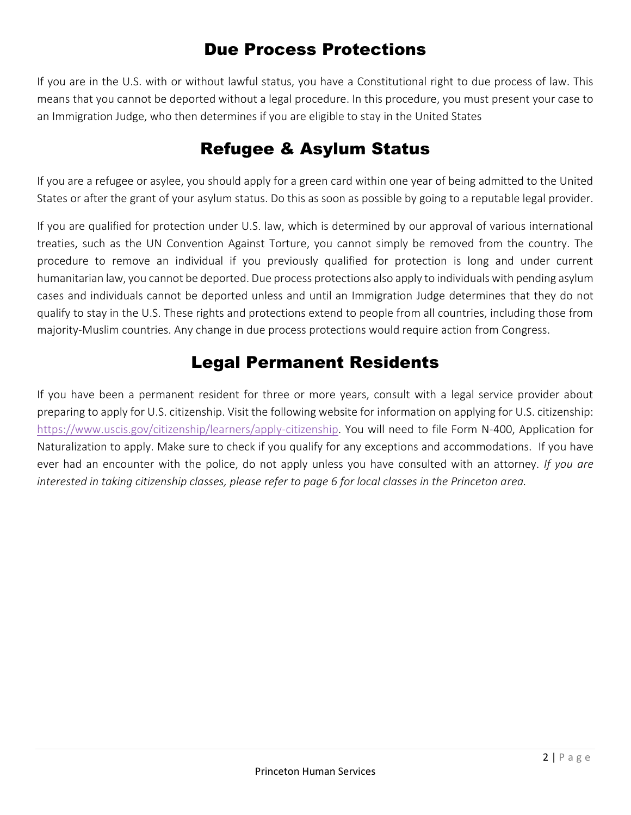## Due Process Protections

If you are in the U.S. with or without lawful status, you have a Constitutional right to due process of law. This means that you cannot be deported without a legal procedure. In this procedure, you must present your case to an Immigration Judge, who then determines if you are eligible to stay in the United States

## Refugee & Asylum Status

If you are a refugee or asylee, you should apply for a green card within one year of being admitted to the United States or after the grant of your asylum status. Do this as soon as possible by going to a reputable legal provider.

If you are qualified for protection under U.S. law, which is determined by our approval of various international treaties, such as the UN Convention Against Torture, you cannot simply be removed from the country. The procedure to remove an individual if you previously qualified for protection is long and under current humanitarian law, you cannot be deported. Due process protections also apply to individuals with pending asylum cases and individuals cannot be deported unless and until an Immigration Judge determines that they do not qualify to stay in the U.S. These rights and protections extend to people from all countries, including those from majority-Muslim countries. Any change in due process protections would require action from Congress.

## Legal Permanent Residents

If you have been a permanent resident for three or more years, consult with a legal service provider about preparing to apply for U.S. citizenship. Visit the following website for information on applying for U.S. citizenship: [https://www.uscis.gov/citizenship/learners/apply-citizenship.](https://www.uscis.gov/citizenship/learners/apply-citizenship) You will need to file Form N-400, Application for Naturalization to apply. Make sure to check if you qualify for any exceptions and accommodations. If you have ever had an encounter with the police, do not apply unless you have consulted with an attorney. *If you are interested in taking citizenship classes, please refer to page 6 for local classes in the Princeton area.*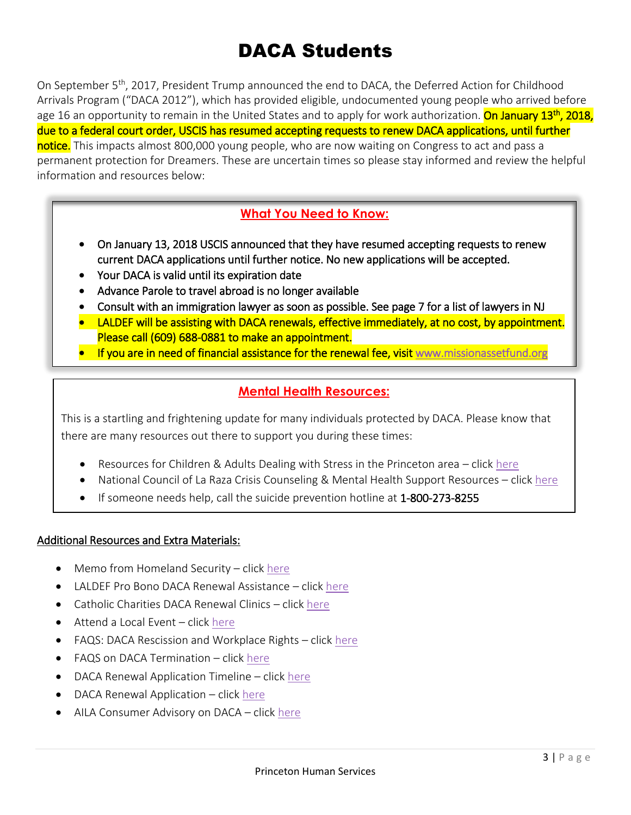## DACA Students

On September 5<sup>th</sup>, 2017, President Trump announced the end to DACA, the Deferred Action for Childhood Arrivals Program ("DACA 2012"), which has provided eligible, undocumented young people who arrived before age 16 an opportunity to remain in the United States and to apply for work authorization. **On January 13<sup>th</sup>, 2018,** due to a federal court order, USCIS has resumed accepting requests to renew DACA applications, until further notice. This impacts almost 800,000 young people, who are now waiting on Congress to act and pass a permanent protection for Dreamers. These are uncertain times so please stay informed and review the helpful information and resources below:

## **What You Need to Know:**

- On January 13, 2018 USCIS announced that they have resumed accepting requests to renew current DACA applications until further notice. No new applications will be accepted.
- Your DACA is valid until its expiration date
- Advance Parole to travel abroad is no longer available
- Consult with an immigration lawyer as soon as possible. See page 7 for a list of lawyers in NJ
- LALDEF will be assisting with DACA renewals, effective immediately, at no cost, by appointment. Please call (609) 688-0881 to make an appointment.
- If you are in need of financial assistance for the renewal fee, visit www.missionassetfund.org

### **Mental Health Resources:**

This is a startling and frightening update for many individuals protected by DACA. Please know that there are many resources out there to support you during these times:

- Resources for Children & Adults Dealing with Stress in the Princeton area click [here](https://drive.google.com/file/d/0B88mZtu_wUGKRWtkQjlxN0FYdk0/view?usp=sharing)
- National Council of La Raza Crisis Counseling & Mental Health Support Resources click [here](http://publications.nclr.org/bitstream/handle/123456789/1649/NCLR-Crisis%20Counseling-Mental-Health-Support.pdf?sequence=3&isAllowed=y)
- If someone needs help, call the suicide prevention hotline at 1-800-273-8255

#### Additional Resources and Extra Materials:

- Memo from Homeland Security click [here](https://www.uscis.gov/humanitarian/deferred-action-childhood-arrivals-response-january-2018-preliminary-injunction)
- LALDEF Pro Bono DACA Renewal Assistance click [here](https://drive.google.com/file/d/11Gd4RWWwg3wdPgVwy9ap-1PN-i_rC6cW/view?usp=sharing)
- Catholic Charities DACA Renewal Clinics clic[k here](https://drive.google.com/file/d/0B88mZtu_wUGKbWNoeHVYaUhTMEE/view?usp=sharing)
- Attend a Local Event clic[k here](http://weareheretostay.org/attend-an-event/)
- FAQS: DACA Rescission and Workplace Rights click [here](http://weareheretostay.org/resources/faqs-daca-rescission-and-workplace-rights/)
- FAQS on DACA Termination click [here](http://weareheretostay.org/resources/frequently-asked-questions-on-daca-termination/)
- DACA Renewal Application Timeline click [here](https://unitedwedream.org/daca-renewal-application-timeline/)
- DACA Renewal Application click [here](https://www.roadtostatus.com/immigration-forms/uscis-forms-i-821-d-i-765/?utm_source=google&utm_medium=cpc&utm_campaign=895334127&utm_content=44313859323&utm_term=daca%20renewal&gclid=EAIaIQobChMI5YDNlueV1gIVAotpCh0JuQeWEAAYASAAEgIyA_D_BwE)
- AILA Consumer Advisory on DACA clic[k here](https://drive.google.com/file/d/0B88mZtu_wUGKbWNoeHVYaUhTMEE/view?usp=sharing)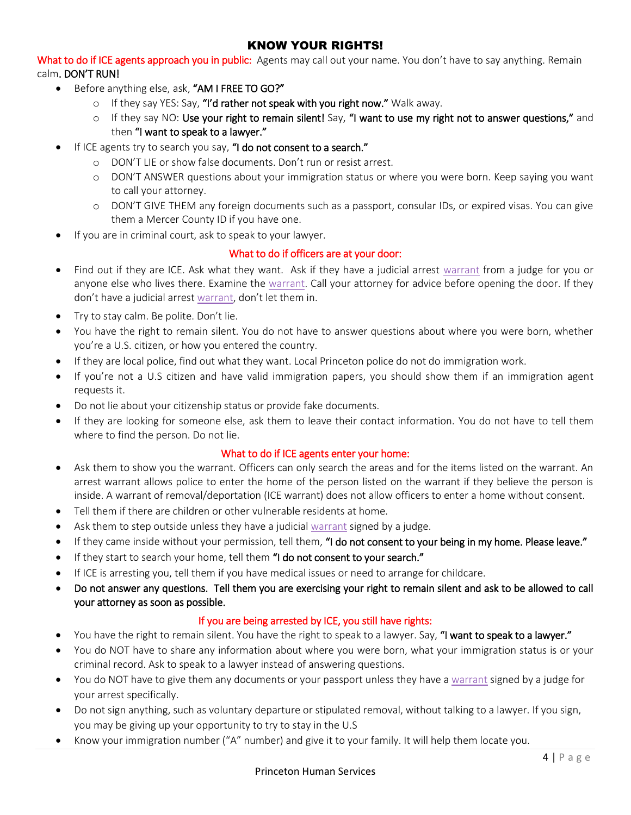#### KNOW YOUR RIGHTS!

What to do if ICE agents approach you in public: Agents may call out your name. You don't have to say anything. Remain calm. DON'T RUN!

- Before anything else, ask, "AM I FREE TO GO?"
	- o If they say YES: Say, "I'd rather not speak with you right now." Walk away.
	- $\circ$  If they say NO: Use your right to remain silent! Say, "I want to use my right not to answer questions," and then "I want to speak to a lawyer."
- If ICE agents try to search you say, "I do not consent to a search."
	- o DON'T LIE or show false documents. Don't run or resist arrest.
	- o DON'T ANSWER questions about your immigration status or where you were born. Keep saying you want to call your attorney.
	- o DON'T GIVE THEM any foreign documents such as a passport, consular IDs, or expired visas. You can give them a Mercer County ID if you have one.
	- If you are in criminal court, ask to speak to your lawyer.

#### What to do if officers are at your door:

- Find out if they are ICE. Ask what they want. Ask if they have a judicial arrest [warrant](https://www.aclu.org/files/kyr/kyr_no-abra-la-puerta.pdf) from a judge for you or anyone else who lives there. Examine the [warrant.](https://www.aclu.org/files/kyr/kyr_no-abra-la-puerta.pdf) Call your attorney for advice before opening the door. If they don't have a judicial arrest [warrant](https://www.aclu.org/files/kyr/kyr_no-abra-la-puerta.pdf), don't let them in.
- Try to stay calm. Be polite. Don't lie.
- You have the right to remain silent. You do not have to answer questions about where you were born, whether you're a U.S. citizen, or how you entered the country.
- If they are local police, find out what they want. Local Princeton police do not do immigration work.
- If you're not a U.S citizen and have valid immigration papers, you should show them if an immigration agent requests it.
- Do not lie about your citizenship status or provide fake documents.
- If they are looking for someone else, ask them to leave their contact information. You do not have to tell them where to find the person. Do not lie.

#### What to do if ICE agents enter your home:

- Ask them to show you the warrant. Officers can only search the areas and for the items listed on the warrant. An arrest warrant allows police to enter the home of the person listed on the warrant if they believe the person is inside. A warrant of removal/deportation (ICE warrant) does not allow officers to enter a home without consent.
- Tell them if there are children or other vulnerable residents at home.
- Ask them to step outside unless they have a judicial [warrant](https://www.aclu.org/files/kyr/kyr_no-abra-la-puerta.pdf) signed by a judge.
- If they came inside without your permission, tell them, "I do not consent to your being in my home. Please leave."
- If they start to search your home, tell them "I do not consent to your search."
- If ICE is arresting you, tell them if you have medical issues or need to arrange for childcare.
- Do not answer any questions. Tell them you are exercising your right to remain silent and ask to be allowed to call your attorney as soon as possible.

#### If you are being arrested by ICE, you still have rights:

- You have the right to remain silent. You have the right to speak to a lawyer. Say, "I want to speak to a lawyer."
- You do NOT have to share any information about where you were born, what your immigration status is or your criminal record. Ask to speak to a lawyer instead of answering questions.
- You do NOT have to give them any documents or your passport unless they have a [warrant](https://www.aclu.org/files/kyr/kyr_no-abra-la-puerta.pdf) signed by a judge for your arrest specifically.
- Do not sign anything, such as voluntary departure or stipulated removal, without talking to a lawyer. If you sign, you may be giving up your opportunity to try to stay in the U.S
- Know your immigration number ("A" number) and give it to your family. It will help them locate you.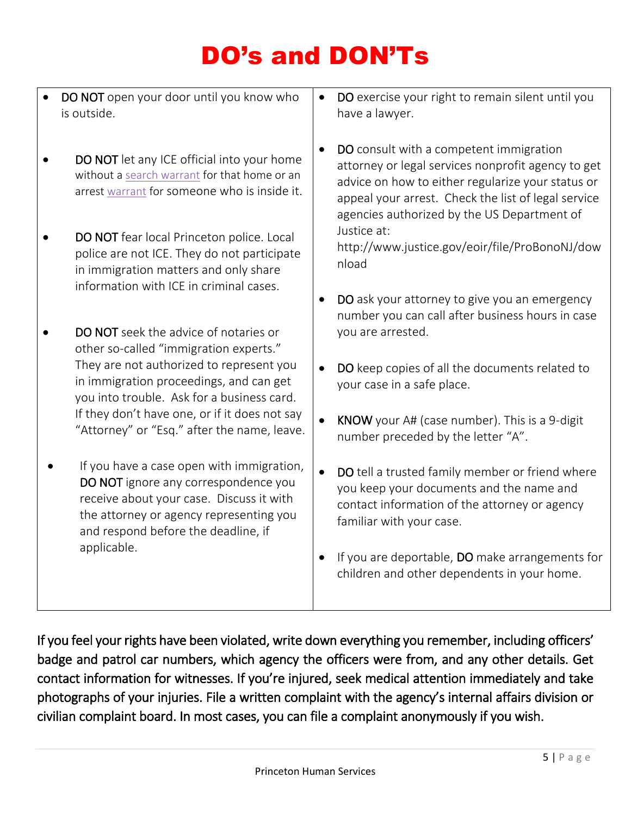# DO's and DON'Ts

 DO NOT open your door until you know who is outside. • DO NOT let any ICE official into your home without [a search warrant](https://www.aclu.org/files/kyr/kyr_abra-la-puerta.pdf) for that home or an arrest [warrant](https://www.aclu.org/files/kyr/kyr_no-abra-la-puerta.pdf) for someone who is inside it. **• DO NOT** fear local Princeton police. Local police are not ICE. They do not participate in immigration matters and only share information with ICE in criminal cases. • DO NOT seek the advice of notaries or other so-called "immigration experts." They are not authorized to represent you in immigration proceedings, and can get you into trouble. Ask for a business card. If they don't have one, or if it does not say "Attorney" or "Esq." after the name, leave. If you have a case open with immigration, DO NOT ignore any correspondence you receive about your case. Discuss it with the attorney or agency representing you and respond before the deadline, if applicable. • DO exercise your right to remain silent until you have a lawyer. DO consult with a competent immigration attorney or legal services nonprofit agency to get advice on how to either regularize your status or appeal your arrest. Check the list of legal service agencies authorized by the US Department of Justice at: http://www.justice.gov/eoir/file/ProBonoNJ/dow nload DO ask your attorney to give you an emergency number you can call after business hours in case you are arrested. DO keep copies of all the documents related to your case in a safe place. KNOW your A# (case number). This is a 9-digit number preceded by the letter "A". DO tell a trusted family member or friend where you keep your documents and the name and contact information of the attorney or agency familiar with your case. If you are deportable, DO make arrangements for children and other dependents in your home.

If you feel your rights have been violated, write down everything you remember, including officers' badge and patrol car numbers, which agency the officers were from, and any other details. Get contact information for witnesses. If you're injured, seek medical attention immediately and take photographs of your injuries. File a written complaint with the agency's internal affairs division or civilian complaint board. In most cases, you can file a complaint anonymously if you wish.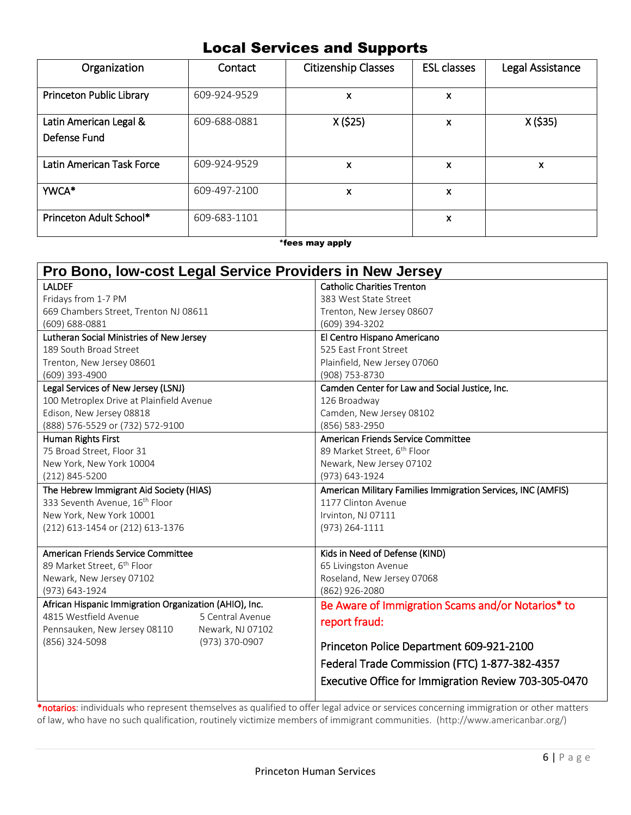## Local Services and Supports

| Organization              | Contact      | <b>Citizenship Classes</b> | <b>ESL classes</b> | Legal Assistance |
|---------------------------|--------------|----------------------------|--------------------|------------------|
| Princeton Public Library  | 609-924-9529 | X                          | X                  |                  |
| Latin American Legal &    | 609-688-0881 | X(525)                     | x                  | $X($ \$35)       |
| Defense Fund              |              |                            |                    |                  |
| Latin American Task Force | 609-924-9529 | X                          | X                  | x                |
| YWCA*                     | 609-497-2100 | X                          | X                  |                  |
| Princeton Adult School*   | 609-683-1101 |                            | X                  |                  |

\*fees may apply

| Pro Bono, Iow-cost Legal Service Providers in New Jersey |                                                              |  |  |  |  |
|----------------------------------------------------------|--------------------------------------------------------------|--|--|--|--|
| <b>LALDEF</b>                                            | <b>Catholic Charities Trenton</b>                            |  |  |  |  |
| Fridays from 1-7 PM                                      | 383 West State Street                                        |  |  |  |  |
| 669 Chambers Street, Trenton NJ 08611                    | Trenton, New Jersey 08607                                    |  |  |  |  |
| (609) 688-0881                                           | (609) 394-3202                                               |  |  |  |  |
| Lutheran Social Ministries of New Jersey                 | El Centro Hispano Americano                                  |  |  |  |  |
| 189 South Broad Street                                   | 525 East Front Street                                        |  |  |  |  |
| Trenton, New Jersey 08601                                | Plainfield, New Jersey 07060                                 |  |  |  |  |
| (609) 393-4900                                           | (908) 753-8730                                               |  |  |  |  |
| Legal Services of New Jersey (LSNJ)                      | Camden Center for Law and Social Justice, Inc.               |  |  |  |  |
| 100 Metroplex Drive at Plainfield Avenue                 | 126 Broadway                                                 |  |  |  |  |
| Edison, New Jersey 08818                                 | Camden, New Jersey 08102                                     |  |  |  |  |
| (888) 576-5529 or (732) 572-9100                         | (856) 583-2950                                               |  |  |  |  |
| Human Rights First                                       | American Friends Service Committee                           |  |  |  |  |
| 75 Broad Street, Floor 31                                | 89 Market Street, 6 <sup>th</sup> Floor                      |  |  |  |  |
| New York, New York 10004                                 | Newark, New Jersey 07102                                     |  |  |  |  |
| (212) 845-5200                                           | (973) 643-1924                                               |  |  |  |  |
| The Hebrew Immigrant Aid Society (HIAS)                  | American Military Families Immigration Services, INC (AMFIS) |  |  |  |  |
| 333 Seventh Avenue, 16 <sup>th</sup> Floor               | 1177 Clinton Avenue                                          |  |  |  |  |
| New York, New York 10001                                 | Irvinton, NJ 07111                                           |  |  |  |  |
| (212) 613-1454 or (212) 613-1376                         | (973) 264-1111                                               |  |  |  |  |
|                                                          |                                                              |  |  |  |  |
| American Friends Service Committee                       | Kids in Need of Defense (KIND)                               |  |  |  |  |
| 89 Market Street, 6 <sup>th</sup> Floor                  | 65 Livingston Avenue                                         |  |  |  |  |
| Newark, New Jersey 07102                                 | Roseland, New Jersey 07068                                   |  |  |  |  |
| (973) 643-1924                                           | (862) 926-2080                                               |  |  |  |  |
| African Hispanic Immigration Organization (AHIO), Inc.   | Be Aware of Immigration Scams and/or Notarios* to            |  |  |  |  |
| 4815 Westfield Avenue<br>5 Central Avenue                | report fraud:                                                |  |  |  |  |
| Pennsauken, New Jersey 08110<br>Newark, NJ 07102         |                                                              |  |  |  |  |
| (856) 324-5098<br>(973) 370-0907                         | Princeton Police Department 609-921-2100                     |  |  |  |  |
|                                                          |                                                              |  |  |  |  |
|                                                          | Federal Trade Commission (FTC) 1-877-382-4357                |  |  |  |  |
|                                                          | Executive Office for Immigration Review 703-305-0470         |  |  |  |  |
|                                                          |                                                              |  |  |  |  |

\*notarios: individuals who represent themselves as qualified to offer legal advice or services concerning immigration or other matters of law, who have no such qualification, routinely victimize members of immigrant communities. (http://www.americanbar.org/)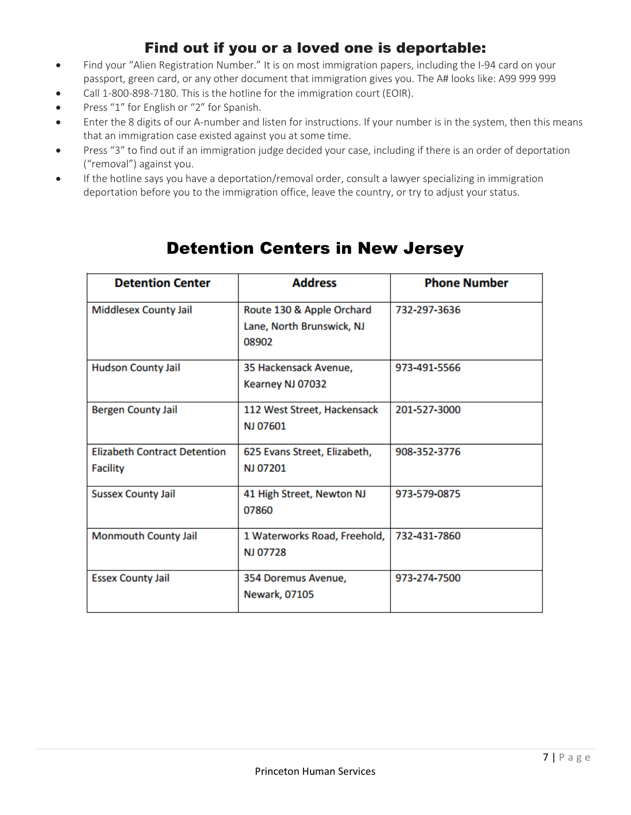## Find out if you or a loved one is deportable:

- Find your "Alien Registration Number." It is on most immigration papers, including the I-94 card on your passport, green card, or any other document that immigration gives you. The A# looks like: A99 999 999
- Call 1-800-898-7180. This is the hotline for the immigration court (EOIR).
- Press "1" for English or "2" for Spanish.
- Enter the 8 digits of our A-number and listen for instructions. If your number is in the system, then this means that an immigration case existed against you at some time.
- Press "3" to find out if an immigration judge decided your case, including if there is an order of deportation ("removal") against you.
- If the hotline says you have a deportation/removal order, consult a lawyer specializing in immigration deportation before you to the immigration office, leave the country, or try to adjust your status.

| <b>Detention Center</b>                                | <b>Address</b>                                                  | <b>Phone Number</b> |
|--------------------------------------------------------|-----------------------------------------------------------------|---------------------|
| <b>Middlesex County Jail</b>                           | Route 130 & Apple Orchard<br>Lane, North Brunswick, NJ<br>08902 | 732-297-3636        |
| <b>Hudson County Jail</b>                              | 35 Hackensack Avenue,<br>Kearney NJ 07032                       | 973-491-5566        |
| <b>Bergen County Jail</b>                              | 112 West Street, Hackensack<br>NJ 07601                         | 201-527-3000        |
| <b>Elizabeth Contract Detention</b><br><b>Facility</b> | 625 Evans Street, Elizabeth,<br>NJ 07201                        | 908-352-3776        |
| <b>Sussex County Jail</b>                              | 41 High Street, Newton NJ<br>07860                              | 973-579-0875        |
| <b>Monmouth County Jail</b>                            | 1 Waterworks Road, Freehold,<br><b>NJ 07728</b>                 | 732-431-7860        |
| <b>Essex County Jail</b>                               | 354 Doremus Avenue,<br><b>Newark, 07105</b>                     | 973-274-7500        |

## Detention Centers in New Jersey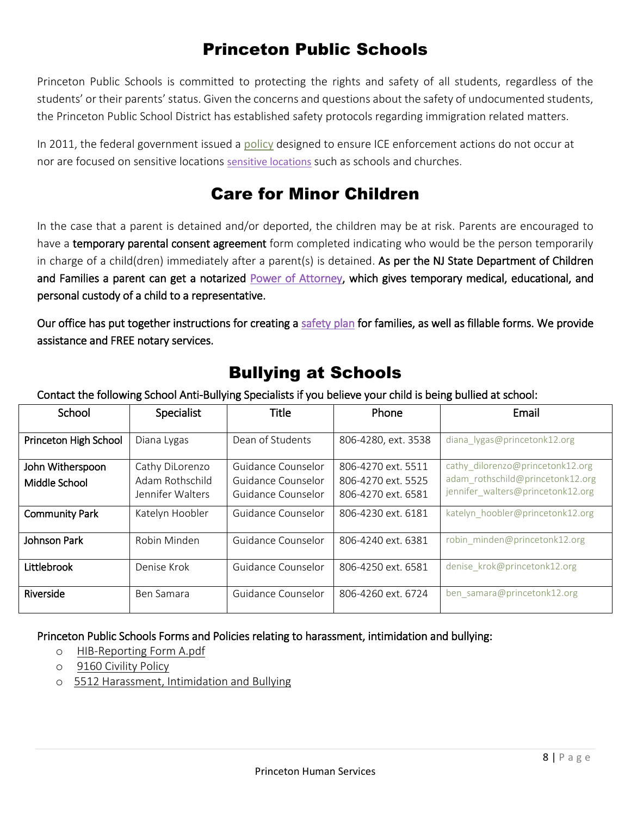## Princeton Public Schools

Princeton Public Schools is committed to protecting the rights and safety of all students, regardless of the students' or their parents' status. Given the concerns and questions about the safety of undocumented students, the Princeton Public School District has established safety protocols regarding immigration related matters.

In 2011, the federal government issued a [policy](https://www.ice.gov/doclib/ero-outreach/pdf/10029.2-policy.pdf) designed to ensure ICE enforcement actions do not occur at nor are focused on sensitive locations [sensitive locations](https://drive.google.com/file/d/0B9FeUGY0UUBtUjdNY253VjNiZG8/view?usp=sharing) such as schools and churches.

## Care for Minor Children

In the case that a parent is detained and/or deported, the children may be at risk. Parents are encouraged to have a temporary parental consent agreement form completed indicating who would be the person temporarily in charge of a child(dren) immediately after a parent(s) is detained. As per the NJ State Department of Children and Families a parent can get a notarized [Power of Attorney,](https://drive.google.com/file/d/0B88mZtu_wUGKQlBHRTkwVXRYR2c/view?usp=sharing) which gives temporary medical, educational, and personal custody of a child to a representative.

Our office has put together instructions for creating a [safety plan](https://drive.google.com/file/d/0BwbAnoWHPdVgZEJ1clFNcEk5UGs/view?usp=sharing) for families, as well as fillable forms. We provide assistance and FREE notary services.

## Bullying at Schools

Contact the following School Anti-Bullying Specialists if you believe your child is being bullied at school:

| School                | <b>Specialist</b> | <b>Title</b>       | Phone               | Email                             |
|-----------------------|-------------------|--------------------|---------------------|-----------------------------------|
| Princeton High School | Diana Lygas       | Dean of Students   | 806-4280, ext. 3538 | diana lygas@princetonk12.org      |
|                       |                   |                    |                     |                                   |
| John Witherspoon      | Cathy DiLorenzo   | Guidance Counselor | 806-4270 ext. 5511  | cathy dilorenzo@princetonk12.org  |
| Middle School         | Adam Rothschild   | Guidance Counselor | 806-4270 ext. 5525  | adam rothschild@princetonk12.org  |
|                       | Jennifer Walters  | Guidance Counselor | 806-4270 ext. 6581  | jennifer walters@princetonk12.org |
| <b>Community Park</b> | Katelyn Hoobler   | Guidance Counselor | 806-4230 ext. 6181  | katelyn hoobler@princetonk12.org  |
| Johnson Park          | Robin Minden      | Guidance Counselor | 806-4240 ext. 6381  | robin minden@princetonk12.org     |
| Littlebrook           | Denise Krok       | Guidance Counselor | 806-4250 ext. 6581  | denise krok@princetonk12.org      |
| Riverside             | Ben Samara        | Guidance Counselor | 806-4260 ext. 6724  | ben samara@princetonk12.org       |

Princeton Public Schools Forms and Policies relating to harassment, intimidation and bullying:

- o [HIB-Reporting Form A.pdf](http://www.princetonk12.org/district_content/HIB/HIB-ReportingFormA.pdf)
- o [9160 Civility Policy](http://www.princetonk12.org/district_content/Board_Policies/community/9160%20Civility.pdf)
- o [5512 Harassment, Intimidation and Bullying](http://www.princetonk12.org/district_content/Board_Policies/pupils/5512-HIB.pdf)